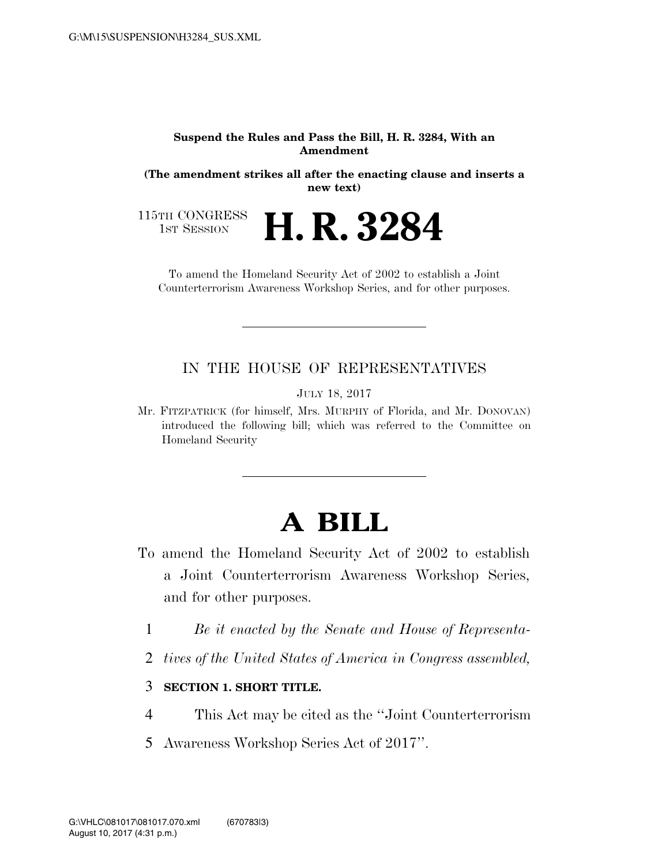#### **Suspend the Rules and Pass the Bill, H. R. 3284, With an Amendment**

**(The amendment strikes all after the enacting clause and inserts a new text)** 

**H. R. 3284** 

115TH CONGRESS<br>1st Session

To amend the Homeland Security Act of 2002 to establish a Joint Counterterrorism Awareness Workshop Series, and for other purposes.

#### IN THE HOUSE OF REPRESENTATIVES

JULY 18, 2017

Mr. FITZPATRICK (for himself, Mrs. MURPHY of Florida, and Mr. DONOVAN) introduced the following bill; which was referred to the Committee on Homeland Security

# **A BILL**

- To amend the Homeland Security Act of 2002 to establish a Joint Counterterrorism Awareness Workshop Series, and for other purposes.
	- 1 *Be it enacted by the Senate and House of Representa-*
	- 2 *tives of the United States of America in Congress assembled,*

#### 3 **SECTION 1. SHORT TITLE.**

- 4 This Act may be cited as the ''Joint Counterterrorism
- 5 Awareness Workshop Series Act of 2017''.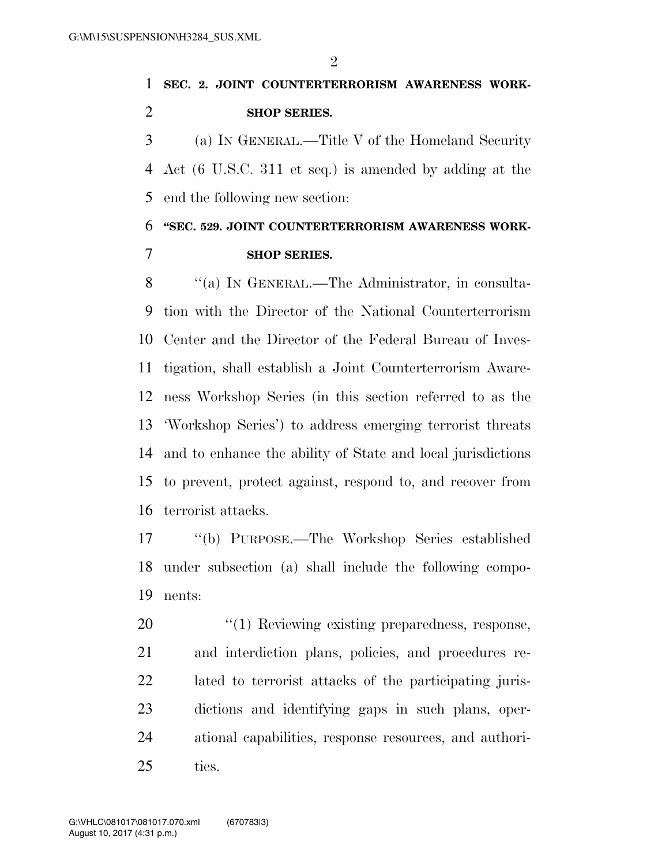$\mathfrak{D}$ 

## **SEC. 2. JOINT COUNTERTERRORISM AWARENESS WORK-SHOP SERIES.**

 (a) IN GENERAL.—Title V of the Homeland Security Act (6 U.S.C. 311 et seq.) is amended by adding at the end the following new section:

**''SEC. 529. JOINT COUNTERTERRORISM AWARENESS WORK-**

### **SHOP SERIES.**

8 "(a) IN GENERAL.—The Administrator, in consulta- tion with the Director of the National Counterterrorism Center and the Director of the Federal Bureau of Inves- tigation, shall establish a Joint Counterterrorism Aware- ness Workshop Series (in this section referred to as the 'Workshop Series') to address emerging terrorist threats and to enhance the ability of State and local jurisdictions to prevent, protect against, respond to, and recover from terrorist attacks.

 ''(b) PURPOSE.—The Workshop Series established under subsection (a) shall include the following compo-nents:

 $\frac{1}{20}$  Reviewing existing preparedness, response, and interdiction plans, policies, and procedures re- lated to terrorist attacks of the participating juris- dictions and identifying gaps in such plans, oper- ational capabilities, response resources, and authori-ties.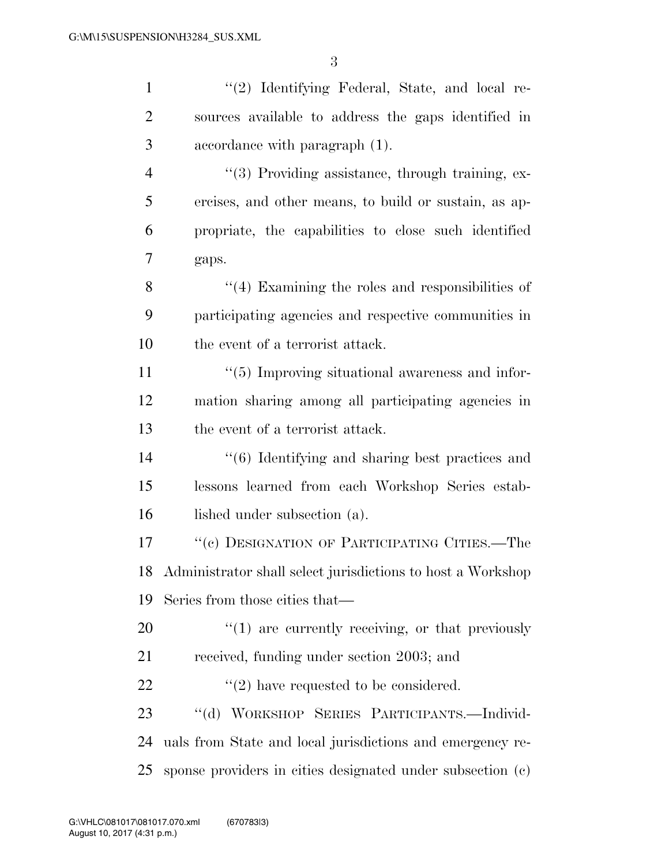| $\mathbf{1}$   | "(2) Identifying Federal, State, and local re-                 |
|----------------|----------------------------------------------------------------|
| $\overline{2}$ | sources available to address the gaps identified in            |
| 3              | accordance with paragraph (1).                                 |
| 4              | "(3) Providing assistance, through training, ex-               |
| 5              | ercises, and other means, to build or sustain, as ap-          |
| 6              | propriate, the capabilities to close such identified           |
| 7              | gaps.                                                          |
| 8              | $``(4)$ Examining the roles and responsibilities of            |
| 9              | participating agencies and respective communities in           |
| 10             | the event of a terrorist attack.                               |
| 11             | $\lq(5)$ Improving situational awareness and infor-            |
| 12             | mation sharing among all participating agencies in             |
| 13             | the event of a terrorist attack.                               |
| 14             | "(6) Identifying and sharing best practices and                |
| 15             | lessons learned from each Workshop Series estab-               |
| 16             | lished under subsection (a).                                   |
| 17             | "(c) DESIGNATION OF PARTICIPATING CITIES.—The                  |
|                | 18 Administrator shall select jurisdictions to host a Workshop |
| 19             | Series from those cities that—                                 |
| 20             | $"(1)$ are currently receiving, or that previously             |
| 21             | received, funding under section 2003; and                      |
| 22             | $\lq(2)$ have requested to be considered.                      |
| 23             | "(d) WORKSHOP SERIES PARTICIPANTS.-Individ-                    |
| 24             | uals from State and local jurisdictions and emergency re-      |
| 25             | sponse providers in cities designated under subsection (c)     |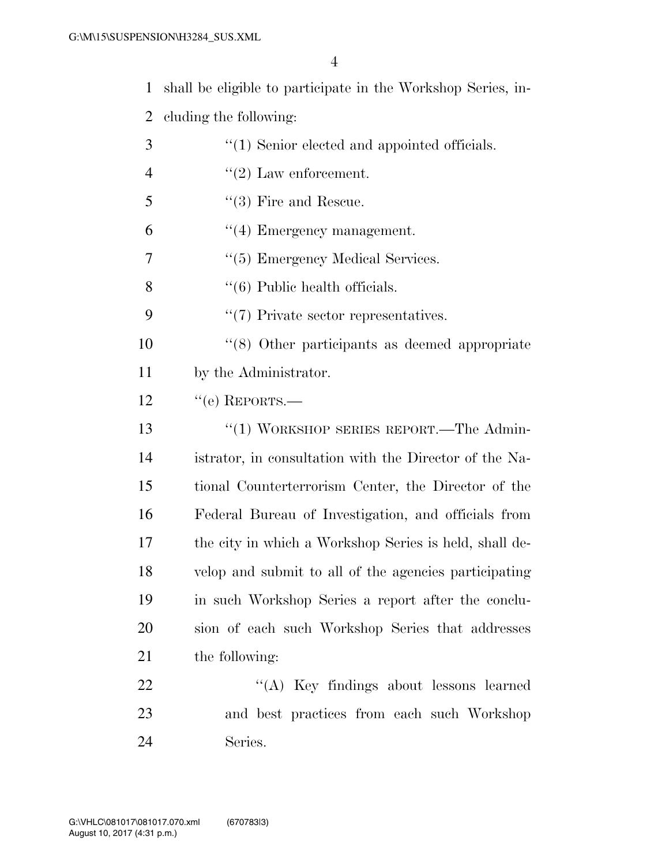4

1 shall be eligible to participate in the Workshop Series, in-

2 cluding the following:

3 (1) Senior elected and appointed officials.  $"(2)$  Law enforcement. ''(3) Fire and Rescue.  $(4)$  Emergency management.  $\frac{4}{5}$  Emergency Medical Services.  $\frac{4}{6}$  Public health officials.  $\frac{4}{7}$  Private sector representatives. ''(8) Other participants as deemed appropriate by the Administrator.  $12 \qquad \text{``(e)}$  REPORTS.— 13 "(1) WORKSHOP SERIES REPORT.—The Admin- istrator, in consultation with the Director of the Na- tional Counterterrorism Center, the Director of the Federal Bureau of Investigation, and officials from the city in which a Workshop Series is held, shall de- velop and submit to all of the agencies participating in such Workshop Series a report after the conclu- sion of each such Workshop Series that addresses the following: 22 "'(A) Key findings about lessons learned and best practices from each such Workshop

24 Series.